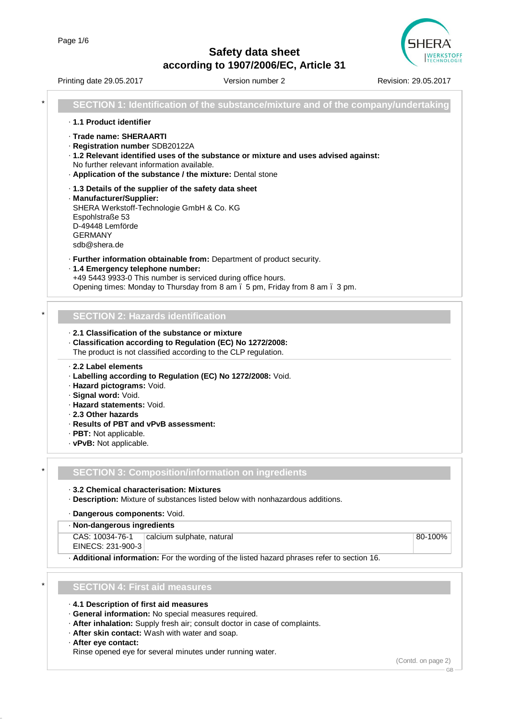

Printing date 29.05.2017 **Version number 2** Revision: 29.05.2017 \* **SECTION 1: Identification of the substance/mixture and of the company/undertaking** · **1.1 Product identifier** · **Trade name: SHERAARTI** · **Registration number** SDB20122A · **1.2 Relevant identified uses of the substance or mixture and uses advised against:** No further relevant information available. · **Application of the substance / the mixture:** Dental stone · **1.3 Details of the supplier of the safety data sheet** · **Manufacturer/Supplier:** SHERA Werkstoff-Technologie GmbH & Co. KG Espohlstraße 53 D-49448 Lemförde GERMANY sdb@shera.de · **Further information obtainable from:** Department of product security. · **1.4 Emergency telephone number:** +49 5443 9933-0 This number is serviced during office hours. Opening times: Monday to Thursday from 8 am – 5 pm, Friday from 8 am – 3 pm. \* **SECTION 2: Hazards identification** · **2.1 Classification of the substance or mixture** · **Classification according to Regulation (EC) No 1272/2008:** The product is not classified according to the CLP regulation. · **2.2 Label elements** · **Labelling according to Regulation (EC) No 1272/2008:** Void. · **Hazard pictograms:** Void. · **Signal word:** Void. · **Hazard statements:** Void. · **2.3 Other hazards** · **Results of PBT and vPvB assessment:** · **PBT:** Not applicable. · **vPvB:** Not applicable. \* **SECTION 3: Composition/information on ingredients** · **3.2 Chemical characterisation: Mixtures** · **Description:** Mixture of substances listed below with nonhazardous additions. · **Dangerous components:** Void. · **Non-dangerous ingredients** CAS: 10034-76-1 EINECS: 231-900-3 calcium sulphate, natural 80-100% · **Additional information:** For the wording of the listed hazard phrases refer to section 16. \* **SECTION 4: First aid measures** · **4.1 Description of first aid measures** · **General information:** No special measures required. · **After inhalation:** Supply fresh air; consult doctor in case of complaints. · **After skin contact:** Wash with water and soap. · **After eye contact:**

Rinse opened eye for several minutes under running water.

(Contd. on page 2)

GB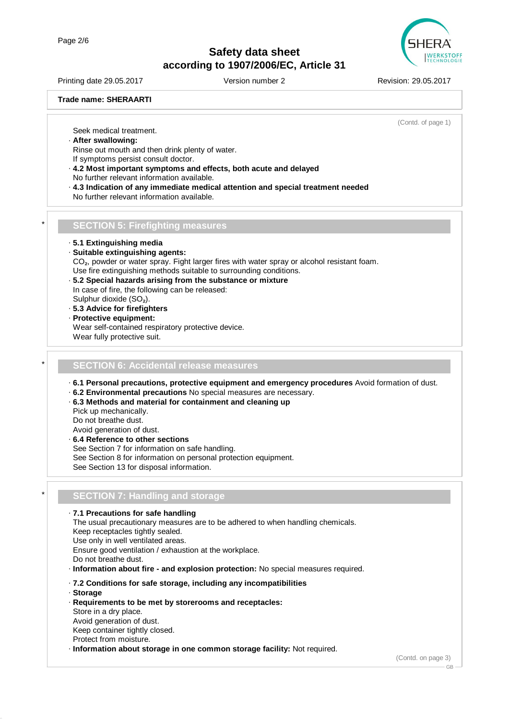

Printing date 29.05.2017 **Version number 2** Revision: 29.05.2017

#### **Trade name: SHERAARTI**

(Contd. of page 1)

Seek medical treatment.

· **After swallowing:**

Rinse out mouth and then drink plenty of water. If symptoms persist consult doctor.

- · **4.2 Most important symptoms and effects, both acute and delayed** No further relevant information available.
- · **4.3 Indication of any immediate medical attention and special treatment needed** No further relevant information available.
- \* **SECTION 5: Firefighting measures**

· **5.1 Extinguishing media**

· **Suitable extinguishing agents:**

CO<sub>2</sub>, powder or water spray. Fight larger fires with water spray or alcohol resistant foam.

- Use fire extinguishing methods suitable to surrounding conditions.
- · **5.2 Special hazards arising from the substance or mixture** In case of fire, the following can be released: Sulphur dioxide (SO₂).
- · **5.3 Advice for firefighters**
- · **Protective equipment:** Wear self-contained respiratory protective device. Wear fully protective suit.

#### \* **SECTION 6: Accidental release measures**

· **6.1 Personal precautions, protective equipment and emergency procedures** Avoid formation of dust.

- · **6.2 Environmental precautions** No special measures are necessary.
- · **6.3 Methods and material for containment and cleaning up**
- Pick up mechanically. Do not breathe dust. Avoid generation of dust.
- · **6.4 Reference to other sections** See Section 7 for information on safe handling.
- See Section 8 for information on personal protection equipment.

See Section 13 for disposal information.

### \* **SECTION 7: Handling and storage**

· **7.1 Precautions for safe handling** The usual precautionary measures are to be adhered to when handling chemicals. Keep receptacles tightly sealed. Use only in well ventilated areas. Ensure good ventilation / exhaustion at the workplace. Do not breathe dust. · **Information about fire - and explosion protection:** No special measures required. · **7.2 Conditions for safe storage, including any incompatibilities** · **Storage**

· **Requirements to be met by storerooms and receptacles:**

Store in a dry place. Avoid generation of dust. Keep container tightly closed. Protect from moisture.

· **Information about storage in one common storage facility:** Not required.

(Contd. on page 3)

GB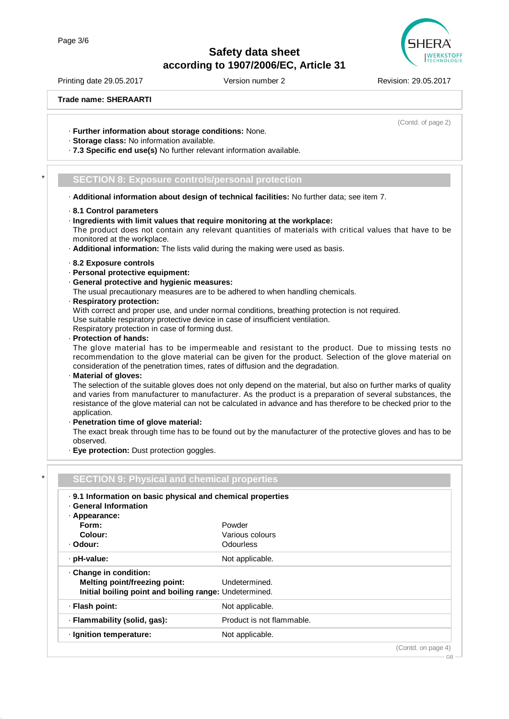Printing date 29.05.2017 **Version number 2** Revision: 29.05.2017

(Contd. of page 2)

**Trade name: SHERAARTI**

- · **Further information about storage conditions:** None.
- · **Storage class:** No information available.
- · **7.3 Specific end use(s)** No further relevant information available.

### \* **SECTION 8: Exposure controls/personal protection**

- · **Additional information about design of technical facilities:** No further data; see item 7.
- · **8.1 Control parameters**
- · **Ingredients with limit values that require monitoring at the workplace:** The product does not contain any relevant quantities of materials with critical values that have to be monitored at the workplace.
- · **Additional information:** The lists valid during the making were used as basis.
- · **8.2 Exposure controls**
- · **Personal protective equipment:**
- · **General protective and hygienic measures:**

The usual precautionary measures are to be adhered to when handling chemicals.

· **Respiratory protection:**

With correct and proper use, and under normal conditions, breathing protection is not required. Use suitable respiratory protective device in case of insufficient ventilation. Respiratory protection in case of forming dust.

· **Protection of hands:**

The glove material has to be impermeable and resistant to the product. Due to missing tests no recommendation to the glove material can be given for the product. Selection of the glove material on consideration of the penetration times, rates of diffusion and the degradation.

· **Material of gloves:**

The selection of the suitable gloves does not only depend on the material, but also on further marks of quality and varies from manufacturer to manufacturer. As the product is a preparation of several substances, the resistance of the glove material can not be calculated in advance and has therefore to be checked prior to the application.

· **Penetration time of glove material:**

The exact break through time has to be found out by the manufacturer of the protective gloves and has to be observed.

· **Eye protection:** Dust protection goggles.

| . 9.1 Information on basic physical and chemical properties |                           |  |
|-------------------------------------------------------------|---------------------------|--|
| · General Information<br>· Appearance:                      |                           |  |
| Form:                                                       | Powder                    |  |
| Colour:                                                     | Various colours           |  |
| · Odour:                                                    | Odourless                 |  |
| · pH-value:                                                 | Not applicable.           |  |
| Change in condition:                                        |                           |  |
| <b>Melting point/freezing point:</b>                        | Undetermined.             |  |
| Initial boiling point and boiling range: Undetermined.      |                           |  |
| · Flash point:                                              | Not applicable.           |  |
| · Flammability (solid, gas):                                | Product is not flammable. |  |
| · Ignition temperature:                                     | Not applicable.           |  |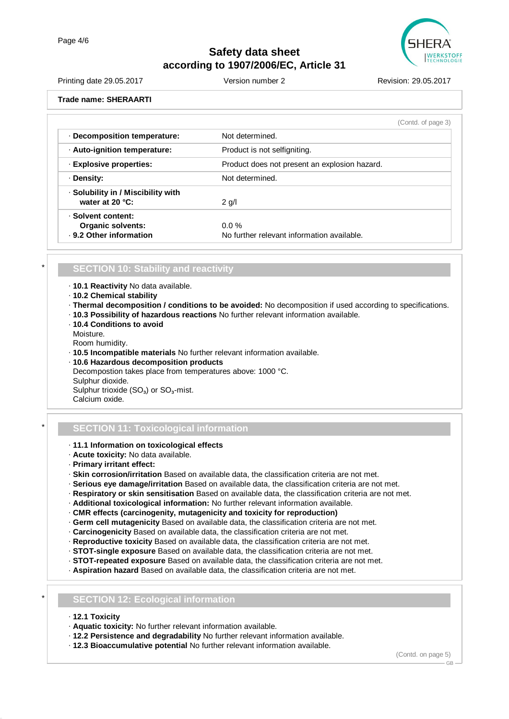

| Printing date 29.05.2017   | Version number 2 | Revision: 29.05.2017 |
|----------------------------|------------------|----------------------|
| Trade name: SHERAARTI      |                  |                      |
| Desampagitian tampayatura: | Not dotageoinad  | (Contd. of page 3)   |

| · Decomposition temperature:                                              | <b>NOT GETERMINED.</b>                                 |
|---------------------------------------------------------------------------|--------------------------------------------------------|
| · Auto-ignition temperature:                                              | Product is not selfigniting.                           |
| · Explosive properties:                                                   | Product does not present an explosion hazard.          |
| · Density:                                                                | Not determined.                                        |
| · Solubility in / Miscibility with<br>water at $20 °C$ :                  | $2$ g/l                                                |
| · Solvent content:<br><b>Organic solvents:</b><br>. 9.2 Other information | $0.0 \%$<br>No further relevant information available. |

### \* **SECTION 10: Stability and reactivity**

- · **10.1 Reactivity** No data available.
- · **10.2 Chemical stability**
- · **Thermal decomposition / conditions to be avoided:** No decomposition if used according to specifications.
- · **10.3 Possibility of hazardous reactions** No further relevant information available.
- · **10.4 Conditions to avoid**
- Moisture.

Room humidity.

- · **10.5 Incompatible materials** No further relevant information available.
- · **10.6 Hazardous decomposition products** Decompostion takes place from temperatures above: 1000 °C. Sulphur dioxide. Sulphur trioxide  $(SO<sub>3</sub>)$  or  $SO<sub>3</sub>$ -mist. Calcium oxide.

### \* **SECTION 11: Toxicological information**

- · **11.1 Information on toxicological effects**
- · **Acute toxicity:** No data available.
- · **Primary irritant effect:**
- · **Skin corrosion/irritation** Based on available data, the classification criteria are not met.
- · **Serious eye damage/irritation** Based on available data, the classification criteria are not met.
- · **Respiratory or skin sensitisation** Based on available data, the classification criteria are not met.
- · **Additional toxicological information:** No further relevant information available.
- · **CMR effects (carcinogenity, mutagenicity and toxicity for reproduction)**
- · **Germ cell mutagenicity** Based on available data, the classification criteria are not met.
- · **Carcinogenicity** Based on available data, the classification criteria are not met.
- · **Reproductive toxicity** Based on available data, the classification criteria are not met.
- · **STOT-single exposure** Based on available data, the classification criteria are not met.
- · **STOT-repeated exposure** Based on available data, the classification criteria are not met.
- · **Aspiration hazard** Based on available data, the classification criteria are not met.

### \* **SECTION 12: Ecological information**

- · **12.1 Toxicity**
- · **Aquatic toxicity:** No further relevant information available.
- · **12.2 Persistence and degradability** No further relevant information available.
- · **12.3 Bioaccumulative potential** No further relevant information available.

(Contd. on page 5)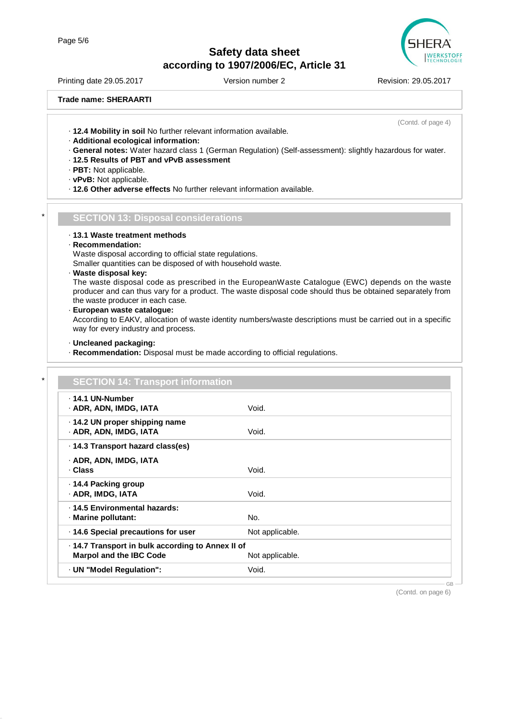

Printing date 29.05.2017 Version number 2 Revision: 29.05.2017

(Contd. of page 4)

**Trade name: SHERAARTI**

· **12.4 Mobility in soil** No further relevant information available.

- · **Additional ecological information:**
- · **General notes:** Water hazard class 1 (German Regulation) (Self-assessment): slightly hazardous for water.
- · **12.5 Results of PBT and vPvB assessment**
- · **PBT:** Not applicable.
- · **vPvB:** Not applicable.
- · **12.6 Other adverse effects** No further relevant information available.

#### \* **SECTION 13: Disposal considerations**

· **13.1 Waste treatment methods**

#### · **Recommendation:**

Waste disposal according to official state regulations.

Smaller quantities can be disposed of with household waste.

· **Waste disposal key:**

The waste disposal code as prescribed in the EuropeanWaste Catalogue (EWC) depends on the waste producer and can thus vary for a product. The waste disposal code should thus be obtained separately from the waste producer in each case.

· **European waste catalogue:**

According to EAKV, allocation of waste identity numbers/waste descriptions must be carried out in a specific way for every industry and process.

#### · **Uncleaned packaging:**

· **Recommendation:** Disposal must be made according to official regulations.

| . 14.1 UN-Number<br>· ADR, ADN, IMDG, IATA               | Void.           |
|----------------------------------------------------------|-----------------|
|                                                          |                 |
| ⋅ 14.2 UN proper shipping name<br>· ADR, ADN, IMDG, IATA | Void.           |
|                                                          |                 |
| ⋅ 14.3 Transport hazard class(es)                        |                 |
| · ADR, ADN, IMDG, IATA                                   |                 |
| · Class                                                  | Void.           |
| ⋅ 14.4 Packing group                                     |                 |
| · ADR, IMDG, IATA                                        | Void.           |
| · 14.5 Environmental hazards:                            |                 |
| · Marine pollutant:                                      | No.             |
| · 14.6 Special precautions for user                      | Not applicable. |
| · 14.7 Transport in bulk according to Annex II of        |                 |
| <b>Marpol and the IBC Code</b>                           | Not applicable. |

(Contd. on page 6)

GB